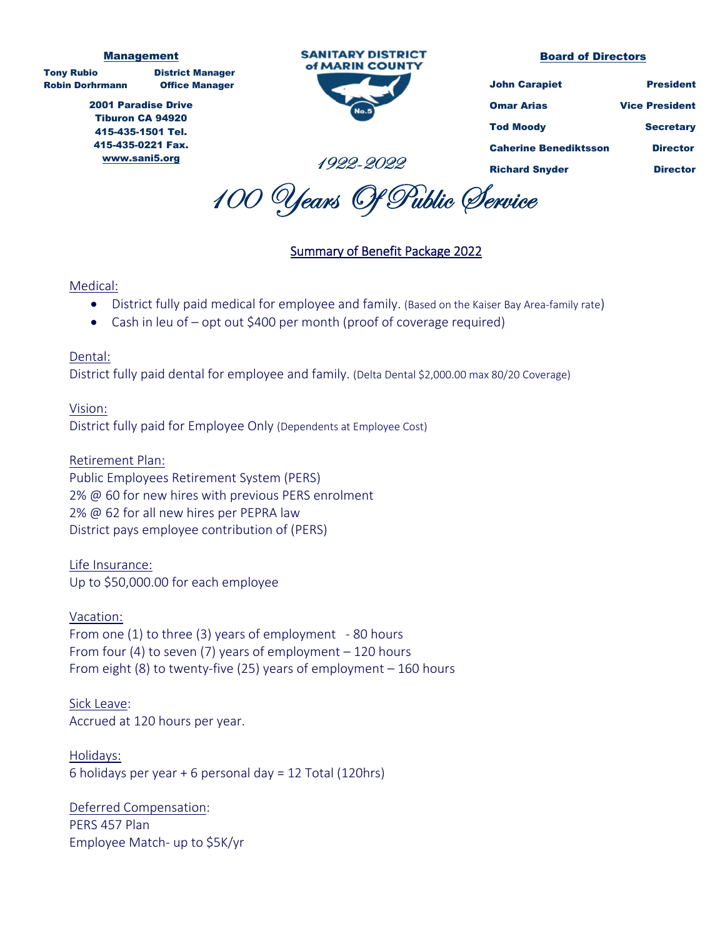#### Management

Tony Rubio District Manager Robin Dorhrmann Office Manager

2001 Paradise Drive Tiburon CA 94920 415-435-1501 Tel. 415-435-0221 Fax. www.sani5.org



#### Board of Directors

| <b>John Carapiet</b>         | <b>President</b>      |
|------------------------------|-----------------------|
| Omar Arias                   | <b>Vice President</b> |
| Tod Moody                    | <b>Secretary</b>      |
| <b>Caherine Benediktsson</b> | <b>Director</b>       |
| <b>Richard Snyder</b>        | <b>Director</b>       |

100 Years Of Public Service

1922-2022

### Summary of Benefit Package 2022

### Medical:

- District fully paid medical for employee and family. (Based on the Kaiser Bay Area-family rate)
- Cash in leu of opt out \$400 per month (proof of coverage required)

### Dental:

District fully paid dental for employee and family. (Delta Dental \$2,000.00 max 80/20 Coverage)

### Vision:

District fully paid for Employee Only (Dependents at Employee Cost)

Retirement Plan: Public Employees Retirement System (PERS) 2% @ 60 for new hires with previous PERS enrolment 2% @ 62 for all new hires per PEPRA law District pays employee contribution of (PERS)

Life Insurance: Up to \$50,000.00 for each employee

Vacation: From one (1) to three (3) years of employment ‐ 80 hours From four (4) to seven (7) years of employment – 120 hours From eight (8) to twenty‐five (25) years of employment – 160 hours

Sick Leave: Accrued at 120 hours per year.

Holidays: 6 holidays per year + 6 personal day = 12 Total (120hrs)

Deferred Compensation: PERS 457 Plan Employee Match‐ up to \$5K/yr